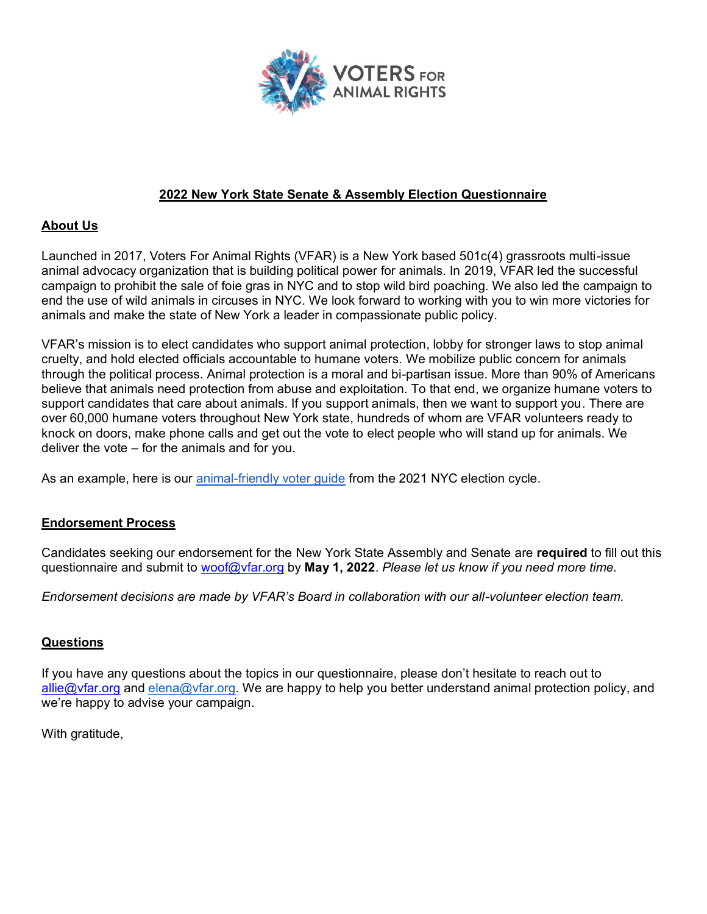

### **2022 New York State Senate & Assembly Election Questionnaire**

### **About Us**

Launched in 2017, Voters For Animal Rights (VFAR) is a New York based 501c(4) grassroots multi-issue animal advocacy organization that is building political power for animals. In 2019, VFAR led the successful campaign to prohibit the sale of foie gras in NYC and to stop wild bird poaching. We also led the campaign to end the use of wild animals in circuses in NYC. We look forward to working with you to win more victories for animals and make the state of New York a leader in compassionate public policy.

VFAR's mission is to elect candidates who support animal protection, lobby for stronger laws to stop animal cruelty, and hold elected officials accountable to humane voters. We mobilize public concern for animals through the political process. Animal protection is a moral and bi-partisan issue. More than 90% of Americans believe that animals need protection from abuse and exploitation. To that end, we organize humane voters to support candidates that care about animals. If you support animals, then we want to support you. There are over 60,000 humane voters throughout New York state, hundreds of whom are VFAR volunteers ready to knock on doors, make phone calls and get out the vote to elect people who will stand up for animals. We deliver the vote  $-$  for the animals and for you.

As an example, here is our animal-friendly voter guide from the 2021 NYC election cycle.

### **Endorsement Process**

Candidates seeking our endorsement for the New York State Assembly and Senate are **required** to fill out this questionnaire and submit to woof@vfar.org by **May 1, 2022**. *Please let us know if you need more time.*

*Endorsement decisions are made by VFAR's Board in collaboration with our all-volunteer election team.* 

### **Questions**

If you have any questions about the topics in our questionnaire, please don't hesitate to reach out to allie@vfar.org and elena@vfar.org. We are happy to help you better understand animal protection policy, and we're happy to advise your campaign.

With gratitude,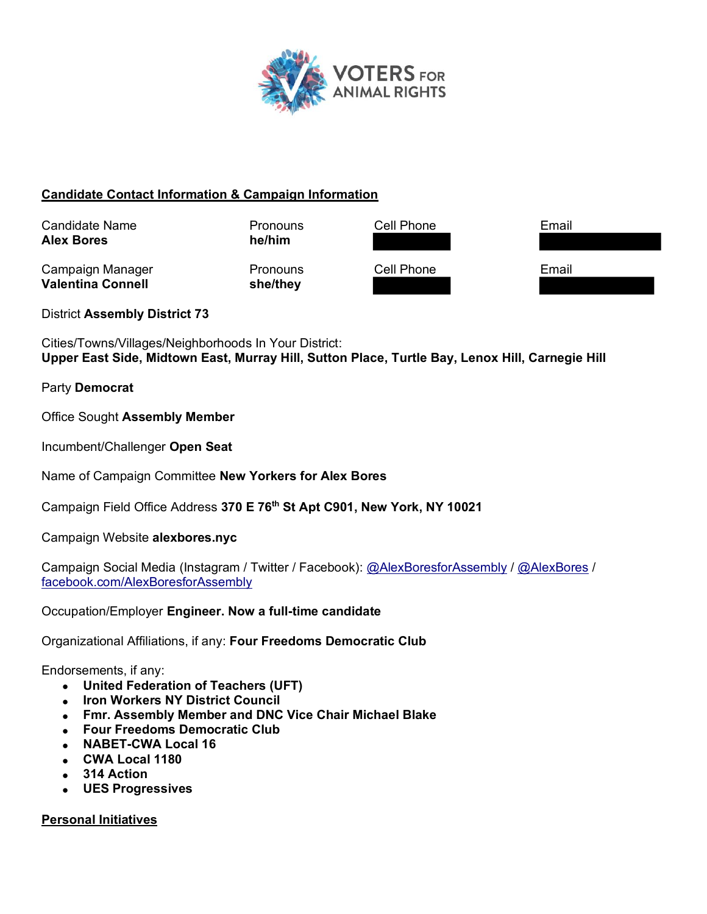

### **Candidate Contact Information & Campaign Information**



District **Assembly District 73**

Cities/Towns/Villages/Neighborhoods In Your District: **Upper East Side, Midtown East, Murray Hill, Sutton Place, Turtle Bay, Lenox Hill, Carnegie Hill**

### Party **Democrat**

Office Sought **Assembly Member**

Incumbent/Challenger **Open Seat**

Name of Campaign Committee **New Yorkers for Alex Bores**

Campaign Field Office Address **370 E 76th St Apt C901, New York, NY 10021**

Campaign Website **alexbores.nyc**

Campaign Social Media (Instagram / Twitter / Facebook): @AlexBoresforAssembly / @AlexBores / facebook.com/AlexBoresforAssembly

Occupation/Employer **Engineer. Now a full-time candidate**

Organizational Affiliations, if any: **Four Freedoms Democratic Club**

Endorsements, if any:

- x **United Federation of Teachers (UFT)**
- x **Iron Workers NY District Council**
- x **Fmr. Assembly Member and DNC Vice Chair Michael Blake**
- **EDURIFREEDOMS Democratic Club**
- x **NABET-CWA Local 16**
- x **CWA Local 1180**
- x **314 Action**
- x **UES Progressives**

**Personal Initiatives**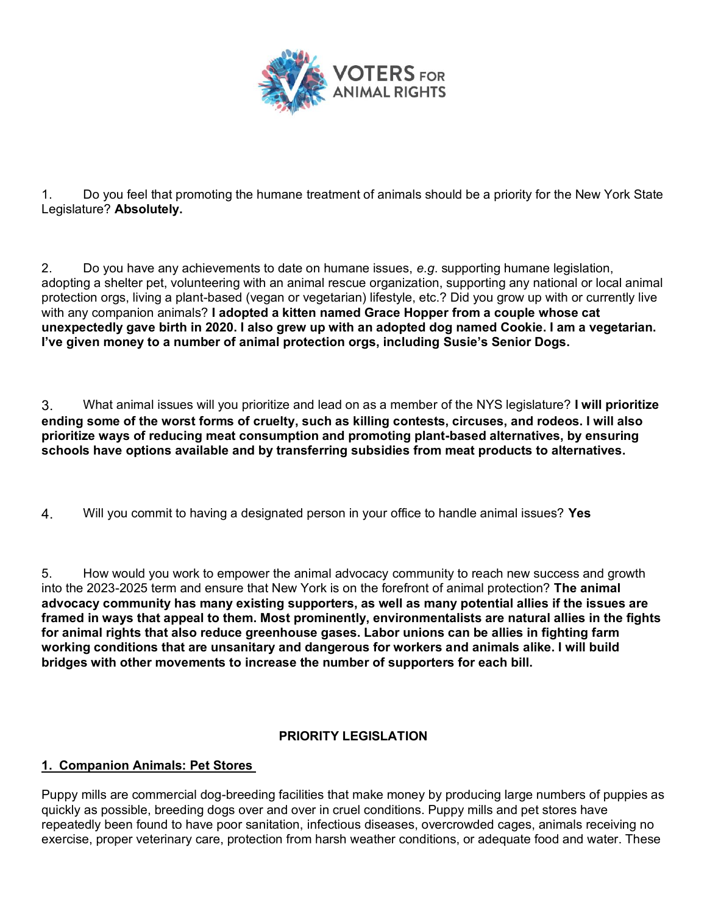

1. Do you feel that promoting the humane treatment of animals should be a priority for the New York State Legislature? **Absolutely.**

2. Do you have any achievements to date on humane issues, *e.g*. supporting humane legislation, adopting a shelter pet, volunteering with an animal rescue organization, supporting any national or local animal protection orgs, living a plant-based (vegan or vegetarian) lifestyle, etc.? Did you grow up with or currently live with any companion animals? **I adopted a kitten named Grace Hopper from a couple whose cat unexpectedly gave birth in 2020. I also grew up with an adopted dog named Cookie. I am a vegetarian.**  I've given money to a number of animal protection orgs, including Susie's Senior Dogs.

3. What animal issues will you prioritize and lead on as a member of the NYS legislature? **I will prioritize ending some of the worst forms of cruelty, such as killing contests, circuses, and rodeos. I will also prioritize ways of reducing meat consumption and promoting plant-based alternatives, by ensuring schools have options available and by transferring subsidies from meat products to alternatives.**

4. Will you commit to having a designated person in your office to handle animal issues? **Yes**

5. How would you work to empower the animal advocacy community to reach new success and growth into the 2023-2025 term and ensure that New York is on the forefront of animal protection? **The animal advocacy community has many existing supporters, as well as many potential allies if the issues are framed in ways that appeal to them. Most prominently, environmentalists are natural allies in the fights for animal rights that also reduce greenhouse gases. Labor unions can be allies in fighting farm working conditions that are unsanitary and dangerous for workers and animals alike. I will build bridges with other movements to increase the number of supporters for each bill.**

## **PRIORITY LEGISLATION**

## **1. Companion Animals: Pet Stores**

Puppy mills are commercial dog-breeding facilities that make money by producing large numbers of puppies as quickly as possible, breeding dogs over and over in cruel conditions. Puppy mills and pet stores have repeatedly been found to have poor sanitation, infectious diseases, overcrowded cages, animals receiving no exercise, proper veterinary care, protection from harsh weather conditions, or adequate food and water. These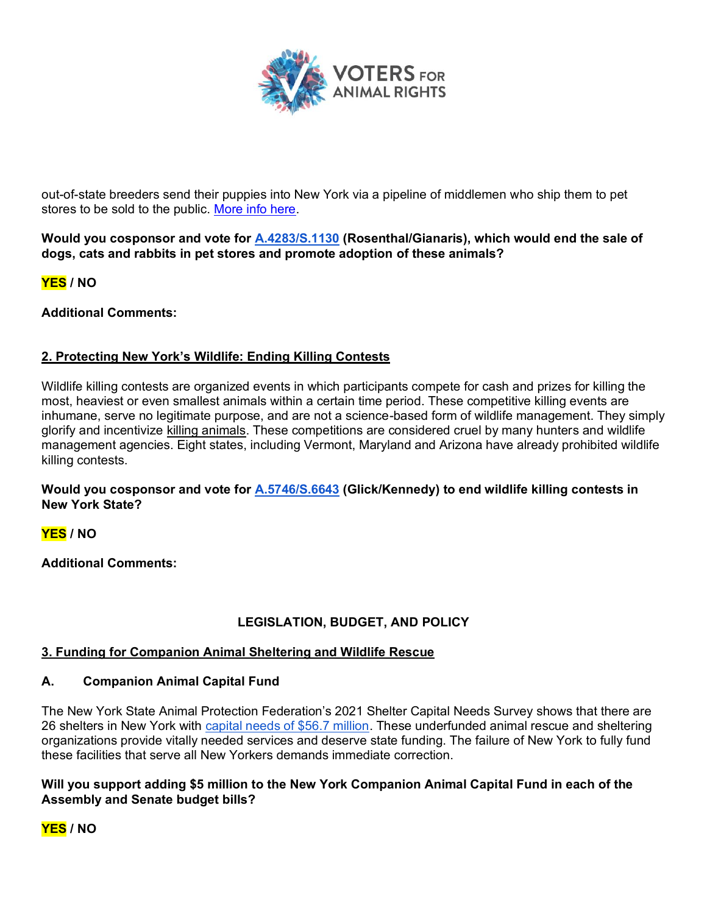

out-of-state breeders send their puppies into New York via a pipeline of middlemen who ship them to pet stores to be sold to the public. More info here.

**Would you cosponsor and vote for A.4283/S.1130 (Rosenthal/Gianaris), which would end the sale of dogs, cats and rabbits in pet stores and promote adoption of these animals?**

**YES / NO**

**Additional Comments:**

## **2. Protecting New York's Wildlife: Ending Killing Contests**

Wildlife killing contests are organized events in which participants compete for cash and prizes for killing the most, heaviest or even smallest animals within a certain time period. These competitive killing events are inhumane, serve no legitimate purpose, and are not a science-based form of wildlife management. They simply glorify and incentivize killing animals. These competitions are considered cruel by many hunters and wildlife management agencies. Eight states, including Vermont, Maryland and Arizona have already prohibited wildlife killing contests.

**Would you cosponsor and vote for A.5746/S.6643 (Glick/Kennedy) to end wildlife killing contests in New York State?** 

**YES / NO**

**Additional Comments:**

## **LEGISLATION, BUDGET, AND POLICY**

### **3. Funding for Companion Animal Sheltering and Wildlife Rescue**

### **A. Companion Animal Capital Fund**

The New York State Animal Protection Federation's 2021 Shelter Capital Needs Survey shows that there are 26 shelters in New York with capital needs of \$56.7 million. These underfunded animal rescue and sheltering organizations provide vitally needed services and deserve state funding. The failure of New York to fully fund these facilities that serve all New Yorkers demands immediate correction.

### **Will you support adding \$5 million to the New York Companion Animal Capital Fund in each of the Assembly and Senate budget bills?**

**YES / NO**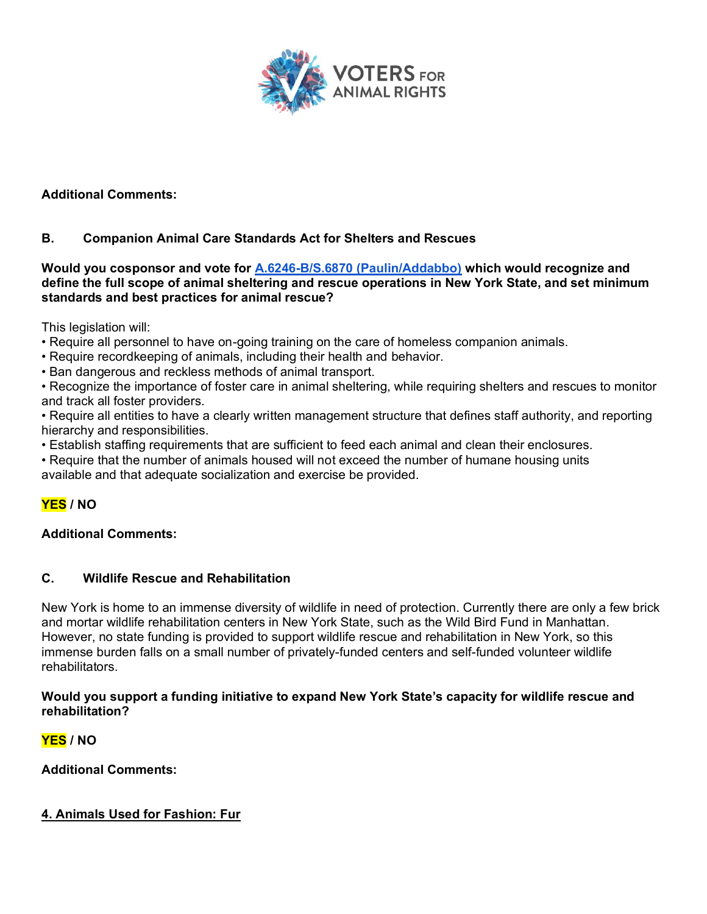

**Additional Comments:**

### **B. Companion Animal Care Standards Act for Shelters and Rescues**

**Would you cosponsor and vote for A.6246-B/S.6870 (Paulin/Addabbo) which would recognize and define the full scope of animal sheltering and rescue operations in New York State, and set minimum standards and best practices for animal rescue?** 

This legislation will:

- Require all personnel to have on-going training on the care of homeless companion animals.
- Require recordkeeping of animals, including their health and behavior.
- . Ban dangerous and reckless methods of animal transport.

• Recognize the importance of foster care in animal sheltering, while requiring shelters and rescues to monitor and track all foster providers.

• Require all entities to have a clearly written management structure that defines staff authority, and reporting hierarchy and responsibilities.

- Establish staffing requirements that are sufficient to feed each animal and clean their enclosures.
- Require that the number of animals housed will not exceed the number of humane housing units available and that adequate socialization and exercise be provided.

# **YES / NO**

### **Additional Comments:**

### **C. Wildlife Rescue and Rehabilitation**

New York is home to an immense diversity of wildlife in need of protection. Currently there are only a few brick and mortar wildlife rehabilitation centers in New York State, such as the Wild Bird Fund in Manhattan. However, no state funding is provided to support wildlife rescue and rehabilitation in New York, so this immense burden falls on a small number of privately-funded centers and self-funded volunteer wildlife rehabilitators.

### **Would you support a funding initiative to expand New York State's capacity for wildlife rescue and rehabilitation?**

## **YES / NO**

**Additional Comments:**

### **4. Animals Used for Fashion: Fur**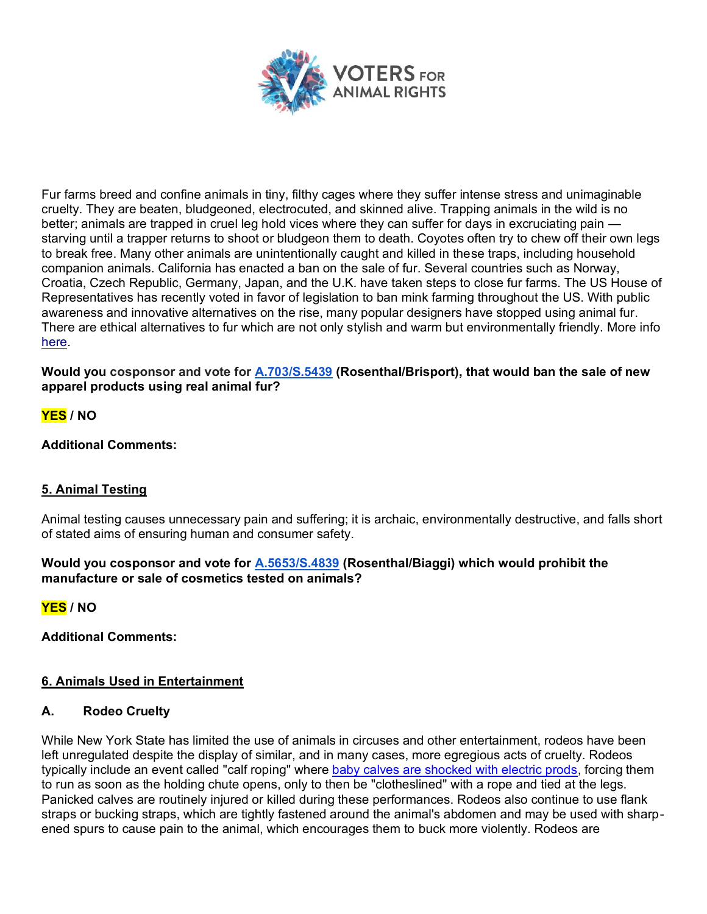

Fur farms breed and confine animals in tiny, filthy cages where they suffer intense stress and unimaginable cruelty. They are beaten, bludgeoned, electrocuted, and skinned alive. Trapping animals in the wild is no better; animals are trapped in cruel leg hold vices where they can suffer for days in excruciating pain  $$ starving until a trapper returns to shoot or bludgeon them to death. Coyotes often try to chew off their own legs to break free. Many other animals are unintentionally caught and killed in these traps, including household companion animals. California has enacted a ban on the sale of fur. Several countries such as Norway, Croatia, Czech Republic, Germany, Japan, and the U.K. have taken steps to close fur farms. The US House of Representatives has recently voted in favor of legislation to ban mink farming throughout the US. With public awareness and innovative alternatives on the rise, many popular designers have stopped using animal fur. There are ethical alternatives to fur which are not only stylish and warm but environmentally friendly. More info here.

**Would you cosponsor and vote for A.703/S.5439 (Rosenthal/Brisport), that would ban the sale of new apparel products using real animal fur?** 

### **YES / NO**

### **Additional Comments:**

### **5. Animal Testing**

Animal testing causes unnecessary pain and suffering; it is archaic, environmentally destructive, and falls short of stated aims of ensuring human and consumer safety.

### **Would you cosponsor and vote for A.5653/S.4839 (Rosenthal/Biaggi) which would prohibit the manufacture or sale of cosmetics tested on animals?**

**YES / NO**

**Additional Comments:**

### **6. Animals Used in Entertainment**

### **A. Rodeo Cruelty**

While New York State has limited the use of animals in circuses and other entertainment, rodeos have been left unregulated despite the display of similar, and in many cases, more egregious acts of cruelty. Rodeos typically include an event called "calf roping" where baby calves are shocked with electric prods, forcing them to run as soon as the holding chute opens, only to then be "clotheslined" with a rope and tied at the legs. Panicked calves are routinely injured or killed during these performances. Rodeos also continue to use flank straps or bucking straps, which are tightly fastened around the animal's abdomen and may be used with sharpened spurs to cause pain to the animal, which encourages them to buck more violently. Rodeos are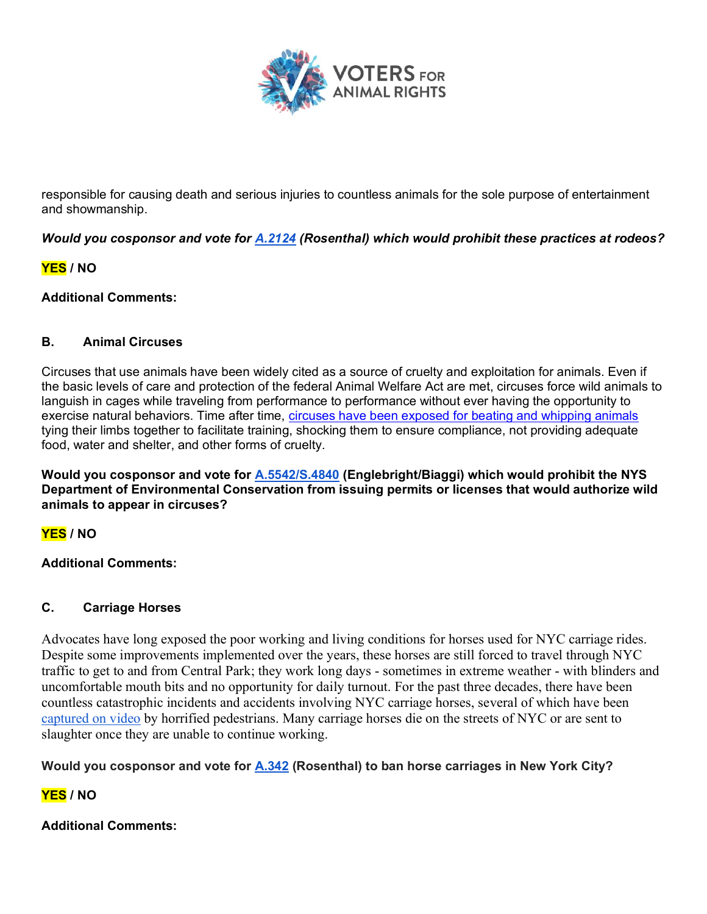

responsible for causing death and serious injuries to countless animals for the sole purpose of entertainment and showmanship.

*Would you cosponsor and vote for A.2124 (Rosenthal) which would prohibit these practices at rodeos?*

## **YES / NO**

### **Additional Comments:**

### **B. Animal Circuses**

Circuses that use animals have been widely cited as a source of cruelty and exploitation for animals. Even if the basic levels of care and protection of the federal Animal Welfare Act are met, circuses force wild animals to languish in cages while traveling from performance to performance without ever having the opportunity to exercise natural behaviors. Time after time, circuses have been exposed for beating and whipping animals tying their limbs together to facilitate training, shocking them to ensure compliance, not providing adequate food, water and shelter, and other forms of cruelty.

**Would you cosponsor and vote for A.5542/S.4840 (Englebright/Biaggi) which would prohibit the NYS Department of Environmental Conservation from issuing permits or licenses that would authorize wild animals to appear in circuses?**

# **YES / NO**

### **Additional Comments:**

### **C. Carriage Horses**

Advocates have long exposed the poor working and living conditions for horses used for NYC carriage rides. Despite some improvements implemented over the years, these horses are still forced to travel through NYC traffic to get to and from Central Park; they work long days - sometimes in extreme weather - with blinders and uncomfortable mouth bits and no opportunity for daily turnout. For the past three decades, there have been countless catastrophic incidents and accidents involving NYC carriage horses, several of which have been captured on video by horrified pedestrians. Many carriage horses die on the streets of NYC or are sent to slaughter once they are unable to continue working.

## **Would you cosponsor and vote for A.342 (Rosenthal) to ban horse carriages in New York City?**

# **YES / NO**

## **Additional Comments:**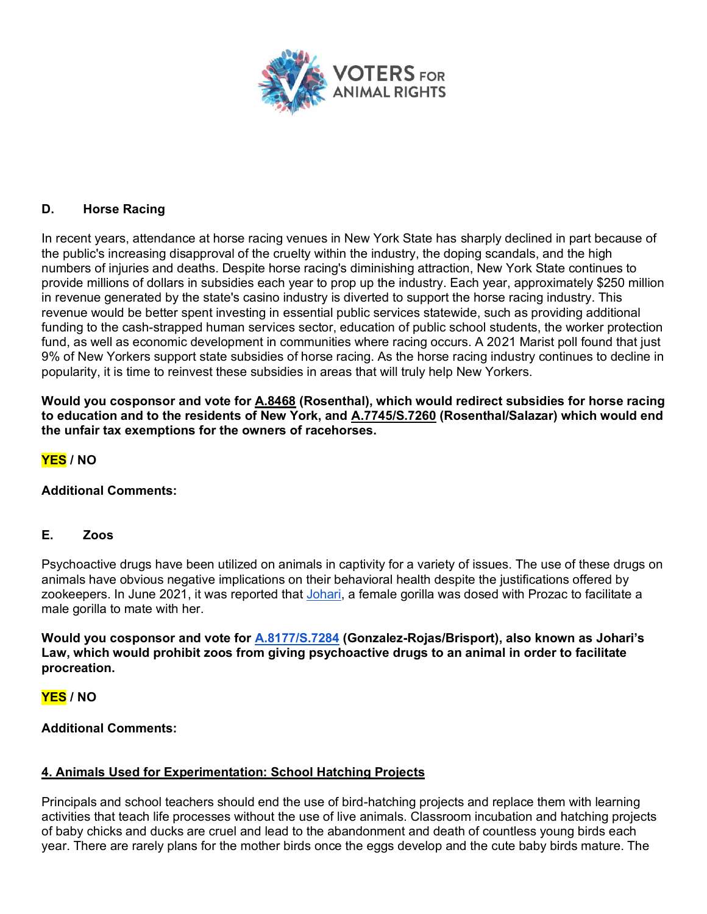

### **D. Horse Racing**

In recent years, attendance at horse racing venues in New York State has sharply declined in part because of the public's increasing disapproval of the cruelty within the industry, the doping scandals, and the high numbers of injuries and deaths. Despite horse racing's diminishing attraction, New York State continues to provide millions of dollars in subsidies each year to prop up the industry. Each year, approximately \$250 million in revenue generated by the state's casino industry is diverted to support the horse racing industry. This revenue would be better spent investing in essential public services statewide, such as providing additional funding to the cash-strapped human services sector, education of public school students, the worker protection fund, as well as economic development in communities where racing occurs. A 2021 Marist poll found that just 9% of New Yorkers support state subsidies of horse racing. As the horse racing industry continues to decline in popularity, it is time to reinvest these subsidies in areas that will truly help New Yorkers.

**Would you cosponsor and vote for A.8468 (Rosenthal), which would redirect subsidies for horse racing to education and to the residents of New York, and A.7745/S.7260 (Rosenthal/Salazar) which would end the unfair tax exemptions for the owners of racehorses.** 

**YES / NO**

### **Additional Comments:**

#### **E. Zoos**

Psychoactive drugs have been utilized on animals in captivity for a variety of issues. The use of these drugs on animals have obvious negative implications on their behavioral health despite the justifications offered by zookeepers. In June 2021, it was reported that Johari, a female gorilla was dosed with Prozac to facilitate a male gorilla to mate with her.

Would you cosponsor and vote for **A.8177/S.7284** (Gonzalez-Rojas/Brisport), also known as Johari's **Law, which would prohibit zoos from giving psychoactive drugs to an animal in order to facilitate procreation.** 

### **YES / NO**

#### **Additional Comments:**

#### **4. Animals Used for Experimentation: School Hatching Projects**

Principals and school teachers should end the use of bird-hatching projects and replace them with learning activities that teach life processes without the use of live animals. Classroom incubation and hatching projects of baby chicks and ducks are cruel and lead to the abandonment and death of countless young birds each year. There are rarely plans for the mother birds once the eggs develop and the cute baby birds mature. The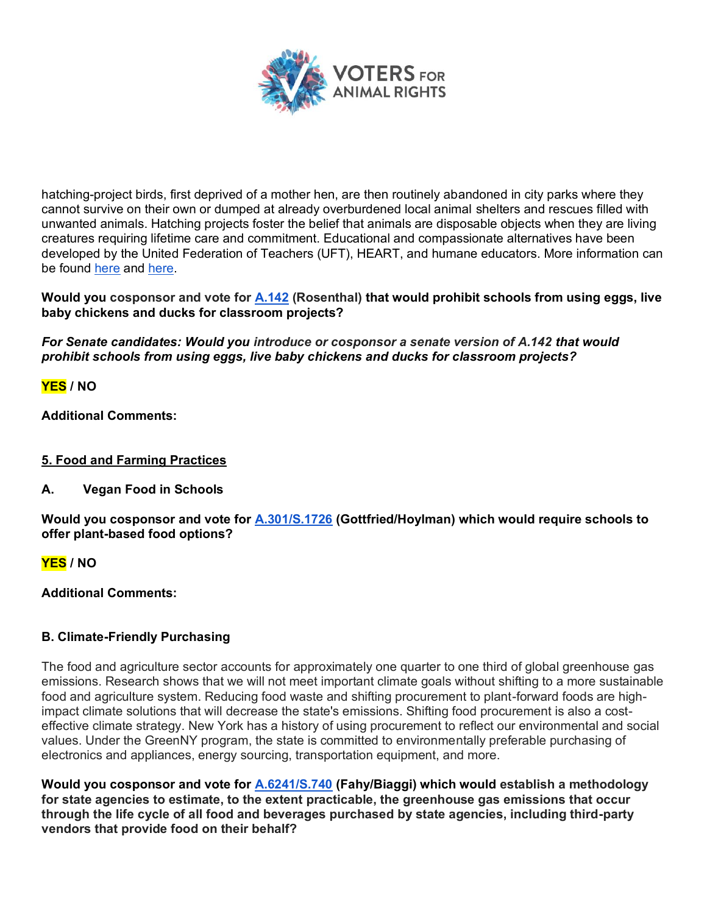

hatching-project birds, first deprived of a mother hen, are then routinely abandoned in city parks where they cannot survive on their own or dumped at already overburdened local animal shelters and rescues filled with unwanted animals. Hatching projects foster the belief that animals are disposable objects when they are living creatures requiring lifetime care and commitment. Educational and compassionate alternatives have been developed by the United Federation of Teachers (UFT), HEART, and humane educators. More information can be found here and here.

**Would you cosponsor and vote for A.142 (Rosenthal) that would prohibit schools from using eggs, live baby chickens and ducks for classroom projects?**

*For Senate candidates: Would you introduce or cosponsor a senate version of A.142 that would prohibit schools from using eggs, live baby chickens and ducks for classroom projects?*

**YES / NO**

**Additional Comments:**

## **5. Food and Farming Practices**

**A. Vegan Food in Schools**

**Would you cosponsor and vote for A.301/S.1726 (Gottfried/Hoylman) which would require schools to offer plant-based food options?**

**YES / NO**

**Additional Comments:**

## **B. Climate-Friendly Purchasing**

The food and agriculture sector accounts for approximately one quarter to one third of global greenhouse gas emissions. Research shows that we will not meet important climate goals without shifting to a more sustainable food and agriculture system. Reducing food waste and shifting procurement to plant-forward foods are highimpact climate solutions that will decrease the state's emissions. Shifting food procurement is also a costeffective climate strategy. New York has a history of using procurement to reflect our environmental and social values. Under the GreenNY program, the state is committed to environmentally preferable purchasing of electronics and appliances, energy sourcing, transportation equipment, and more.

**Would you cosponsor and vote for A.6241/S.740 (Fahy/Biaggi) which would establish a methodology for state agencies to estimate, to the extent practicable, the greenhouse gas emissions that occur through the life cycle of all food and beverages purchased by state agencies, including third-party vendors that provide food on their behalf?**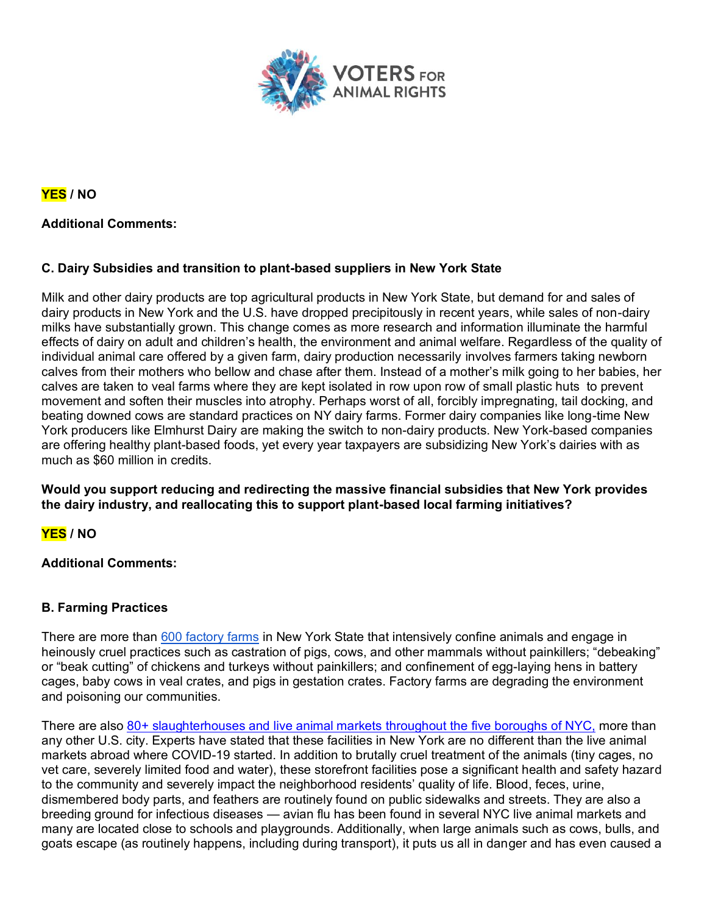

**YES / NO**

### **Additional Comments:**

### **C. Dairy Subsidies and transition to plant-based suppliers in New York State**

Milk and other dairy products are top agricultural products in New York State, but demand for and sales of dairy products in New York and the U.S. have dropped precipitously in recent years, while sales of non-dairy milks have substantially grown. This change comes as more research and information illuminate the harmful effects of dairy on adult and children's health, the environment and animal welfare. Regardless of the quality of individual animal care offered by a given farm, dairy production necessarily involves farmers taking newborn calves from their mothers who bellow and chase after them. Instead of a mother's milk going to her babies, her calves are taken to veal farms where they are kept isolated in row upon row of small plastic huts to prevent movement and soften their muscles into atrophy. Perhaps worst of all, forcibly impregnating, tail docking, and beating downed cows are standard practices on NY dairy farms. Former dairy companies like long-time New York producers like Elmhurst Dairy are making the switch to non-dairy products. New York-based companies are offering healthy plant-based foods, yet every year taxpayers are subsidizing New York's dairies with as much as \$60 million in credits.

**Would you support reducing and redirecting the massive financial subsidies that New York provides the dairy industry, and reallocating this to support plant-based local farming initiatives?**

# **YES / NO**

### **Additional Comments:**

### **B. Farming Practices**

There are more than 600 factory farms in New York State that intensively confine animals and engage in heinously cruel practices such as castration of pigs, cows, and other mammals without painkillers; "debeaking" or "beak cutting" of chickens and turkeys without painkillers; and confinement of egg-laying hens in battery cages, baby cows in veal crates, and pigs in gestation crates. Factory farms are degrading the environment and poisoning our communities.

There are also 80+ slaughterhouses and live animal markets throughout the five boroughs of NYC, more than any other U.S. city. Experts have stated that these facilities in New York are no different than the live animal markets abroad where COVID-19 started. In addition to brutally cruel treatment of the animals (tiny cages, no vet care, severely limited food and water), these storefront facilities pose a significant health and safety hazard to the community and severely impact the neighborhood residents' quality of life. Blood, feces, urine, dismembered body parts, and feathers are routinely found on public sidewalks and streets. They are also a breeding ground for infectious diseases — avian flu has been found in several NYC live animal markets and many are located close to schools and playgrounds. Additionally, when large animals such as cows, bulls, and goats escape (as routinely happens, including during transport), it puts us all in danger and has even caused a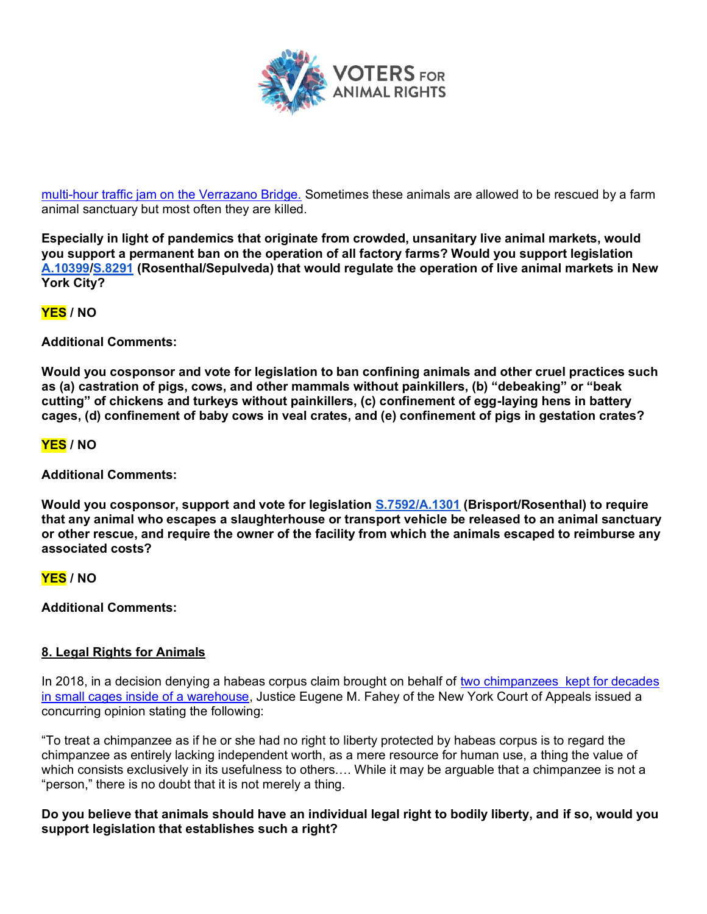

multi-hour traffic jam on the Verrazano Bridge. Sometimes these animals are allowed to be rescued by a farm animal sanctuary but most often they are killed.

**Especially in light of pandemics that originate from crowded, unsanitary live animal markets, would you support a permanent ban on the operation of all factory farms? Would you support legislation A.10399/S.8291 (Rosenthal/Sepulveda) that would regulate the operation of live animal markets in New York City?** 

**YES / NO**

**Additional Comments:**

**Would you cosponsor and vote for legislation to ban confining animals and other cruel practices such**  as (a) castration of pigs, cows, and other mammals without painkillers, (b) "debeaking" or "beak cutting" of chickens and turkeys without painkillers, (c) confinement of egg-laying hens in battery **cages, (d) confinement of baby cows in veal crates, and (e) confinement of pigs in gestation crates?**

### **YES / NO**

**Additional Comments:**

**Would you cosponsor, support and vote for legislation S.7592/A.1301 (Brisport/Rosenthal) to require that any animal who escapes a slaughterhouse or transport vehicle be released to an animal sanctuary or other rescue, and require the owner of the facility from which the animals escaped to reimburse any associated costs?**

**YES / NO**

**Additional Comments:**

### **8. Legal Rights for Animals**

In 2018, in a decision denying a habeas corpus claim brought on behalf of two chimpanzees kept for decades in small cages inside of a warehouse, Justice Eugene M. Fahey of the New York Court of Appeals issued a concurring opinion stating the following:

"To treat a chimpanzee as if he or she had no right to liberty protected by habeas corpus is to regard the chimpanzee as entirely lacking independent worth, as a mere resource for human use, a thing the value of which consists exclusively in its usefulness to others.... While it may be arguable that a chimpanzee is not a "person," there is no doubt that it is not merely a thing.

**Do you believe that animals should have an individual legal right to bodily liberty, and if so, would you support legislation that establishes such a right?**